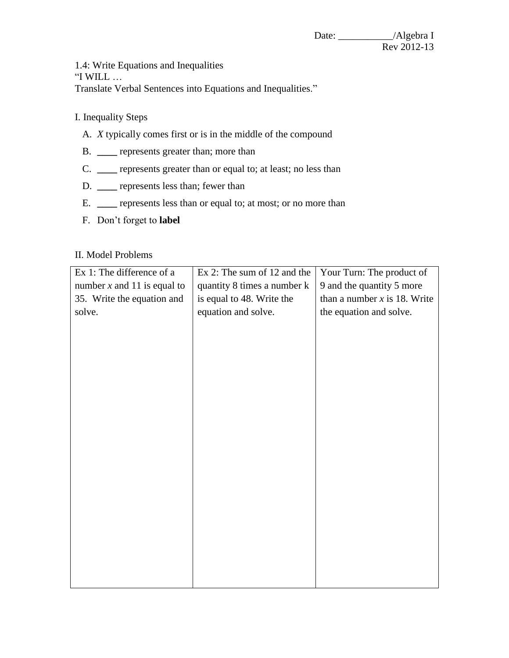1.4: Write Equations and Inequalities

"I WILL …

Translate Verbal Sentences into Equations and Inequalities."

- I. Inequality Steps
	- A. *X* typically comes first or is in the middle of the compound
	- B. **\_\_\_\_** represents greater than; more than
	- C. **\_\_\_\_** represents greater than or equal to; at least; no less than
	- D. **\_\_\_\_** represents less than; fewer than
	- E. **\_\_\_\_** represents less than or equal to; at most; or no more than
	- F. Don't forget to **label**

## II. Model Problems

| Ex 1: The difference of a     | Ex 2: The sum of 12 and the | Your Turn: The product of      |
|-------------------------------|-----------------------------|--------------------------------|
| number $x$ and 11 is equal to | quantity 8 times a number k | 9 and the quantity 5 more      |
| 35. Write the equation and    | is equal to 48. Write the   | than a number $x$ is 18. Write |
| solve.                        | equation and solve.         | the equation and solve.        |
|                               |                             |                                |
|                               |                             |                                |
|                               |                             |                                |
|                               |                             |                                |
|                               |                             |                                |
|                               |                             |                                |
|                               |                             |                                |
|                               |                             |                                |
|                               |                             |                                |
|                               |                             |                                |
|                               |                             |                                |
|                               |                             |                                |
|                               |                             |                                |
|                               |                             |                                |
|                               |                             |                                |
|                               |                             |                                |
|                               |                             |                                |
|                               |                             |                                |
|                               |                             |                                |
|                               |                             |                                |
|                               |                             |                                |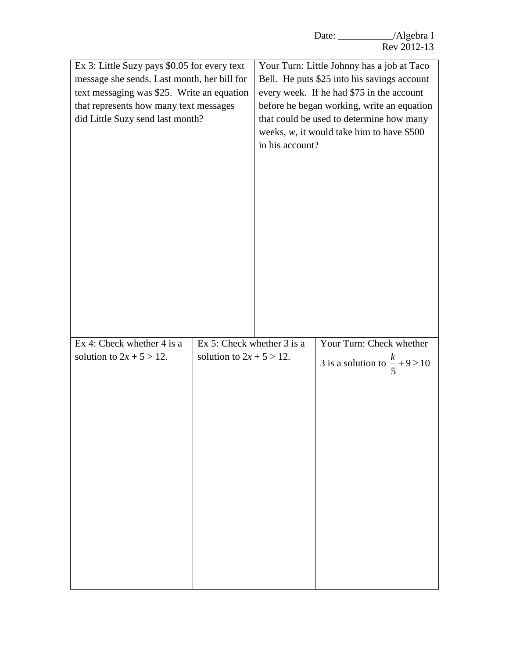| Ex 3: Little Suzy pays \$0.05 for every text<br>message she sends. Last month, her bill for<br>text messaging was \$25. Write an equation<br>that represents how many text messages<br>did Little Suzy send last month? |                                                             | Your Turn: Little Johnny has a job at Taco<br>Bell. He puts \$25 into his savings account<br>every week. If he had \$75 in the account<br>before he began working, write an equation<br>that could be used to determine how many<br>weeks, $w$ , it would take him to have \$500<br>in his account? |                                             |
|-------------------------------------------------------------------------------------------------------------------------------------------------------------------------------------------------------------------------|-------------------------------------------------------------|-----------------------------------------------------------------------------------------------------------------------------------------------------------------------------------------------------------------------------------------------------------------------------------------------------|---------------------------------------------|
|                                                                                                                                                                                                                         |                                                             |                                                                                                                                                                                                                                                                                                     |                                             |
|                                                                                                                                                                                                                         |                                                             |                                                                                                                                                                                                                                                                                                     |                                             |
| Ex 4: Check whether 4 is a<br>solution to $2x + 5 > 12$ .                                                                                                                                                               | Ex 5: Check whether $3$ is a<br>solution to $2x + 5 > 12$ . |                                                                                                                                                                                                                                                                                                     | Your Turn: Check whether                    |
|                                                                                                                                                                                                                         |                                                             |                                                                                                                                                                                                                                                                                                     | 3 is a solution to $\frac{k}{5} + 9 \ge 10$ |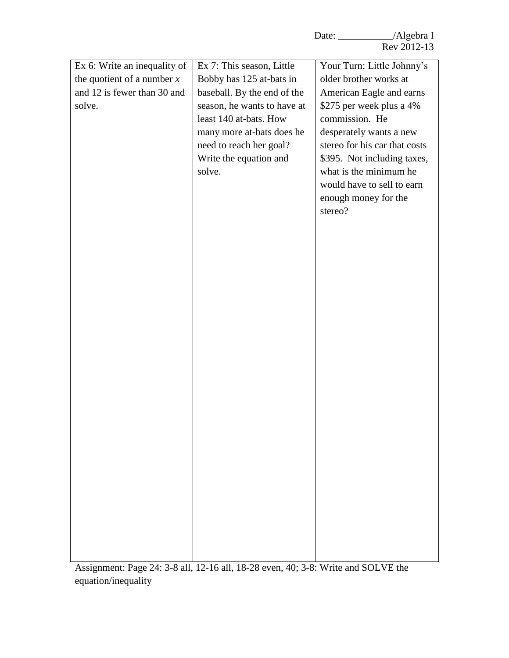| Ex 6: Write an inequality of | Ex 7: This season, Little   | Your Turn: Little Johnny's    |
|------------------------------|-----------------------------|-------------------------------|
| the quotient of a number $x$ | Bobby has 125 at-bats in    | older brother works at        |
| and 12 is fewer than 30 and  | baseball. By the end of the | American Eagle and earns      |
| solve.                       | season, he wants to have at | \$275 per week plus a 4%      |
|                              | least 140 at-bats. How      | commission. He                |
|                              | many more at-bats does he   | desperately wants a new       |
|                              | need to reach her goal?     | stereo for his car that costs |
|                              | Write the equation and      | \$395. Not including taxes,   |
|                              | solve.                      | what is the minimum he        |
|                              |                             | would have to sell to earn    |
|                              |                             | enough money for the          |
|                              |                             | stereo?                       |
|                              |                             |                               |
|                              |                             |                               |
|                              |                             |                               |
|                              |                             |                               |
|                              |                             |                               |
|                              |                             |                               |
|                              |                             |                               |
|                              |                             |                               |
|                              |                             |                               |
|                              |                             |                               |
|                              |                             |                               |
|                              |                             |                               |
|                              |                             |                               |
|                              |                             |                               |
|                              |                             |                               |
|                              |                             |                               |
|                              |                             |                               |
|                              |                             |                               |
|                              |                             |                               |
|                              |                             |                               |
|                              |                             |                               |
|                              |                             |                               |
|                              |                             |                               |
|                              |                             |                               |
|                              |                             |                               |

Assignment: Page 24: 3-8 all, 12-16 all, 18-28 even, 40; 3-8: Write and SOLVE the equation/inequality